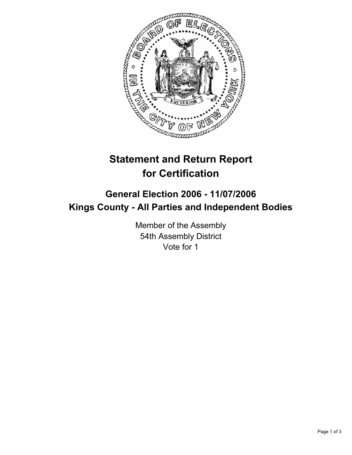

## **Statement and Return Report for Certification**

## **General Election 2006 - 11/07/2006 Kings County - All Parties and Independent Bodies**

Member of the Assembly 54th Assembly District Vote for 1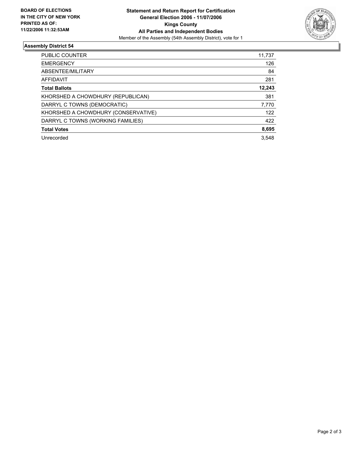

## **Assembly District 54**

| PUBLIC COUNTER                      | 11,737 |
|-------------------------------------|--------|
| <b>EMERGENCY</b>                    | 126    |
| ABSENTEE/MILITARY                   | 84     |
| AFFIDAVIT                           | 281    |
| <b>Total Ballots</b>                | 12,243 |
| KHORSHED A CHOWDHURY (REPUBLICAN)   | 381    |
| DARRYL C TOWNS (DEMOCRATIC)         | 7,770  |
| KHORSHED A CHOWDHURY (CONSERVATIVE) | 122    |
| DARRYL C TOWNS (WORKING FAMILIES)   | 422    |
| <b>Total Votes</b>                  | 8,695  |
| Unrecorded                          | 3.548  |